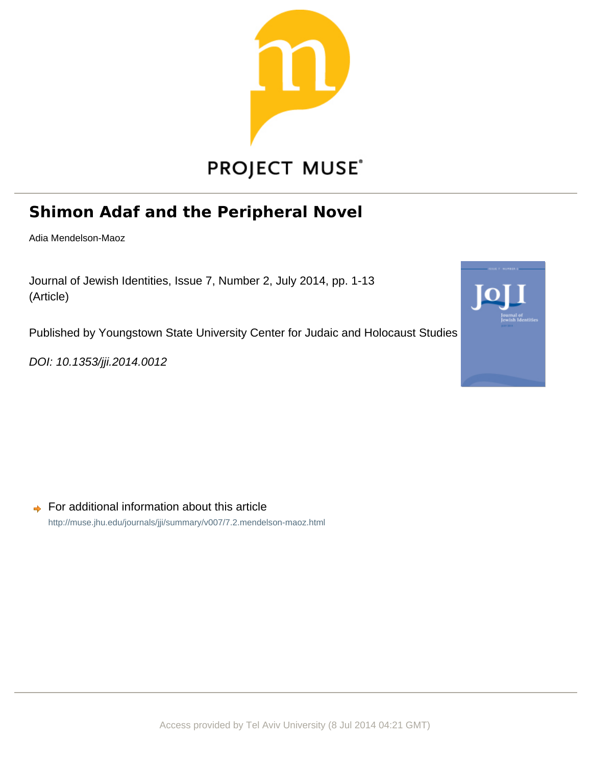

# **Shimon Adaf and the Peripheral Novel**

Adia Mendelson-Maoz

Journal of Jewish Identities, Issue 7, Number 2, July 2014, pp. 1-13 (Article)

Published by Youngstown State University Center for Judaic and Holocaust Studies

DOI: 10.1353/jji.2014.0012



 $\rightarrow$  For additional information about this article <http://muse.jhu.edu/journals/jji/summary/v007/7.2.mendelson-maoz.html>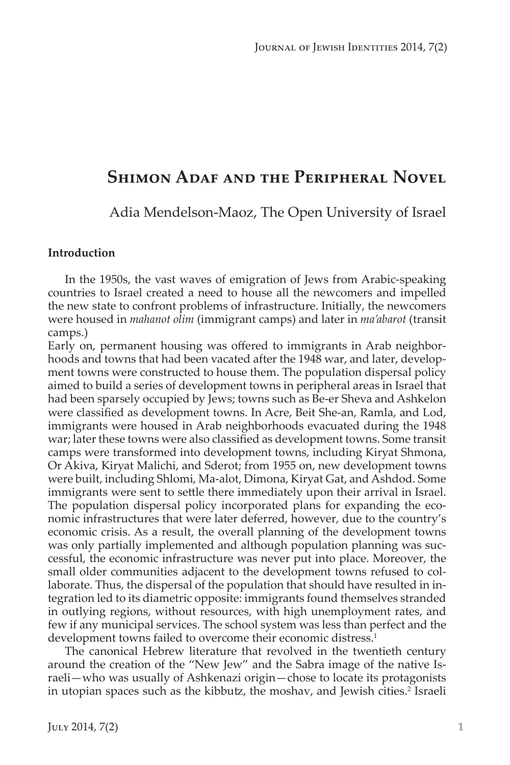## **Shimon Adaf and the Peripheral Novel**

Adia Mendelson-Maoz, The Open University of Israel

#### **Introduction**

In the 1950s, the vast waves of emigration of Jews from Arabic-speaking countries to Israel created a need to house all the newcomers and impelled the new state to confront problems of infrastructure. Initially, the newcomers were housed in *mahanot olim* (immigrant camps) and later in *ma'abarot* (transit camps.)

Early on, permanent housing was offered to immigrants in Arab neighborhoods and towns that had been vacated after the 1948 war, and later, development towns were constructed to house them. The population dispersal policy aimed to build a series of development towns in peripheral areas in Israel that had been sparsely occupied by Jews; towns such as Be-er Sheva and Ashkelon were classified as development towns. In Acre, Beit She-an, Ramla, and Lod, immigrants were housed in Arab neighborhoods evacuated during the 1948 war; later these towns were also classified as development towns. Some transit camps were transformed into development towns, including Kiryat Shmona, Or Akiva, Kiryat Malichi, and Sderot; from 1955 on, new development towns were built, including Shlomi, Ma-alot, Dimona, Kiryat Gat, and Ashdod. Some immigrants were sent to settle there immediately upon their arrival in Israel. The population dispersal policy incorporated plans for expanding the economic infrastructures that were later deferred, however, due to the country's economic crisis. As a result, the overall planning of the development towns was only partially implemented and although population planning was successful, the economic infrastructure was never put into place. Moreover, the small older communities adjacent to the development towns refused to collaborate. Thus, the dispersal of the population that should have resulted in integration led to its diametric opposite: immigrants found themselves stranded in outlying regions, without resources, with high unemployment rates, and few if any municipal services. The school system was less than perfect and the development towns failed to overcome their economic distress.<sup>1</sup>

The canonical Hebrew literature that revolved in the twentieth century around the creation of the "New Jew" and the Sabra image of the native Israeli—who was usually of Ashkenazi origin—chose to locate its protagonists in utopian spaces such as the kibbutz, the moshav, and Jewish cities.<sup>2</sup> Israeli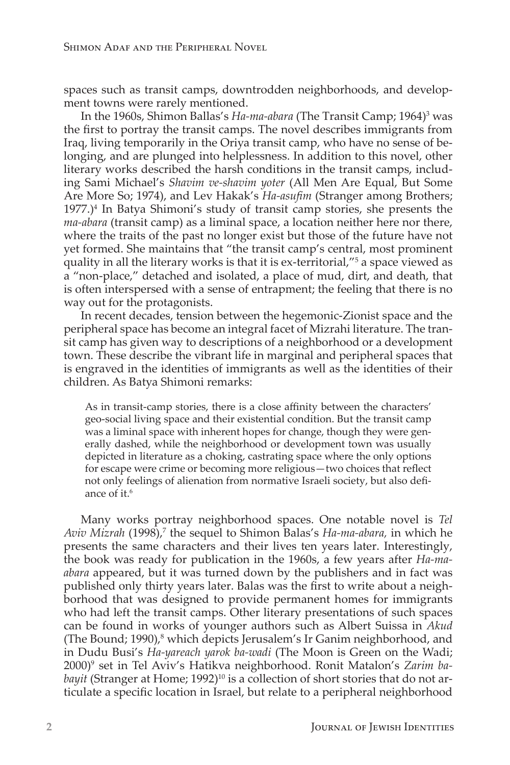spaces such as transit camps, downtrodden neighborhoods, and development towns were rarely mentioned.

In the 1960s, Shimon Ballas's *Ha-ma-abara* (The Transit Camp; 1964)<sup>3</sup> was the first to portray the transit camps. The novel describes immigrants from Iraq, living temporarily in the Oriya transit camp, who have no sense of belonging, and are plunged into helplessness. In addition to this novel, other literary works described the harsh conditions in the transit camps, including Sami Michael's *Shavim ve-shavim yoter* (All Men Are Equal, But Some Are More So; 1974), and Lev Hakak's *Ha-asufim* (Stranger among Brothers; 1977.)<sup>4</sup> In Batya Shimoni's study of transit camp stories, she presents the *ma-abara* (transit camp) as a liminal space, a location neither here nor there, where the traits of the past no longer exist but those of the future have not yet formed. She maintains that "the transit camp's central, most prominent quality in all the literary works is that it is ex-territorial,"<sup>5</sup> a space viewed as a "non-place," detached and isolated, a place of mud, dirt, and death, that is often interspersed with a sense of entrapment; the feeling that there is no way out for the protagonists.

In recent decades, tension between the hegemonic-Zionist space and the peripheral space has become an integral facet of Mizrahi literature. The transit camp has given way to descriptions of a neighborhood or a development town. These describe the vibrant life in marginal and peripheral spaces that is engraved in the identities of immigrants as well as the identities of their children. As Batya Shimoni remarks:

As in transit-camp stories, there is a close affinity between the characters' geo-social living space and their existential condition. But the transit camp was a liminal space with inherent hopes for change, though they were generally dashed, while the neighborhood or development town was usually depicted in literature as a choking, castrating space where the only options for escape were crime or becoming more religious—two choices that reflect not only feelings of alienation from normative Israeli society, but also defiance of it.<sup>6</sup>

Many works portray neighborhood spaces. One notable novel is *Tel*  Aviv Mizrah (1998),<sup>7</sup> the sequel to Shimon Balas's *Ha-ma-abara*, in which he presents the same characters and their lives ten years later. Interestingly, the book was ready for publication in the 1960s, a few years after *Ha-maabara* appeared, but it was turned down by the publishers and in fact was published only thirty years later. Balas was the first to write about a neighborhood that was designed to provide permanent homes for immigrants who had left the transit camps. Other literary presentations of such spaces can be found in works of younger authors such as Albert Suissa in *Akud*  (The Bound; 1990),<sup>8</sup> which depicts Jerusalem's Ir Ganim neighborhood, and in Dudu Busi's *Ha-yareach yarok ba-wadi* (The Moon is Green on the Wadi; 2000)9 set in Tel Aviv's Hatikva neighborhood. Ronit Matalon's *Zarim babayit* (Stranger at Home; 1992)<sup>10</sup> is a collection of short stories that do not articulate a specific location in Israel, but relate to a peripheral neighborhood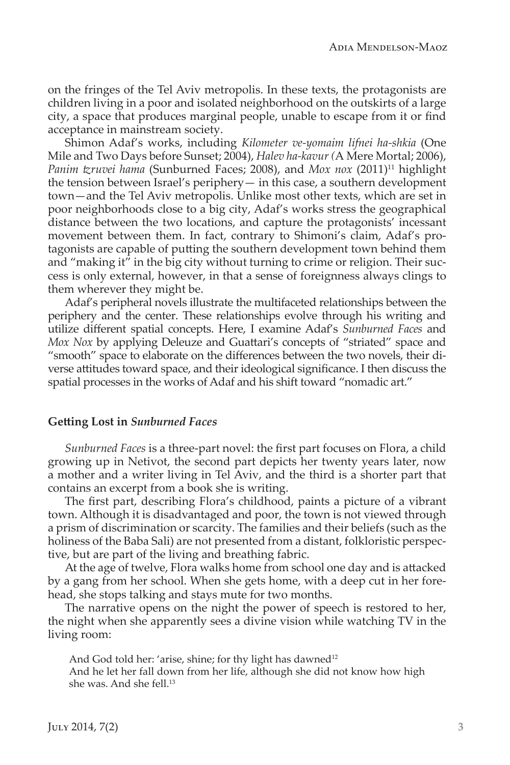on the fringes of the Tel Aviv metropolis. In these texts, the protagonists are children living in a poor and isolated neighborhood on the outskirts of a large city, a space that produces marginal people, unable to escape from it or find acceptance in mainstream society.

Shimon Adaf's works, including *Kilometer ve-yomaim lifnei ha-shkia* (One Mile and Two Days before Sunset; 2004), *Halev ha-kavur (*A Mere Mortal; 2006), *Panim tzruvei hama* (Sunburned Faces; 2008), and *Mox nox* (2011)<sup>11</sup> highlight the tension between Israel's periphery— in this case, a southern development town—and the Tel Aviv metropolis. Unlike most other texts, which are set in poor neighborhoods close to a big city, Adaf's works stress the geographical distance between the two locations, and capture the protagonists' incessant movement between them. In fact, contrary to Shimoni's claim, Adaf's protagonists are capable of putting the southern development town behind them and "making it" in the big city without turning to crime or religion. Their success is only external, however, in that a sense of foreignness always clings to them wherever they might be.

Adaf's peripheral novels illustrate the multifaceted relationships between the periphery and the center. These relationships evolve through his writing and utilize different spatial concepts. Here, I examine Adaf's *Sunburned Faces* and *Mox Nox* by applying Deleuze and Guattari's concepts of "striated" space and "smooth" space to elaborate on the differences between the two novels, their diverse attitudes toward space, and their ideological significance. I then discuss the spatial processes in the works of Adaf and his shift toward "nomadic art."

#### **Getting Lost in** *Sunburned Faces*

*Sunburned Faces* is a three-part novel: the first part focuses on Flora, a child growing up in Netivot, the second part depicts her twenty years later, now a mother and a writer living in Tel Aviv, and the third is a shorter part that contains an excerpt from a book she is writing.

The first part, describing Flora's childhood, paints a picture of a vibrant town. Although it is disadvantaged and poor, the town is not viewed through a prism of discrimination or scarcity. The families and their beliefs (such as the holiness of the Baba Sali) are not presented from a distant, folkloristic perspective, but are part of the living and breathing fabric.

At the age of twelve, Flora walks home from school one day and is attacked by a gang from her school. When she gets home, with a deep cut in her forehead, she stops talking and stays mute for two months.

The narrative opens on the night the power of speech is restored to her, the night when she apparently sees a divine vision while watching TV in the living room:

And God told her: 'arise, shine; for thy light has dawned<sup>12</sup> And he let her fall down from her life, although she did not know how high she was. And she fell.13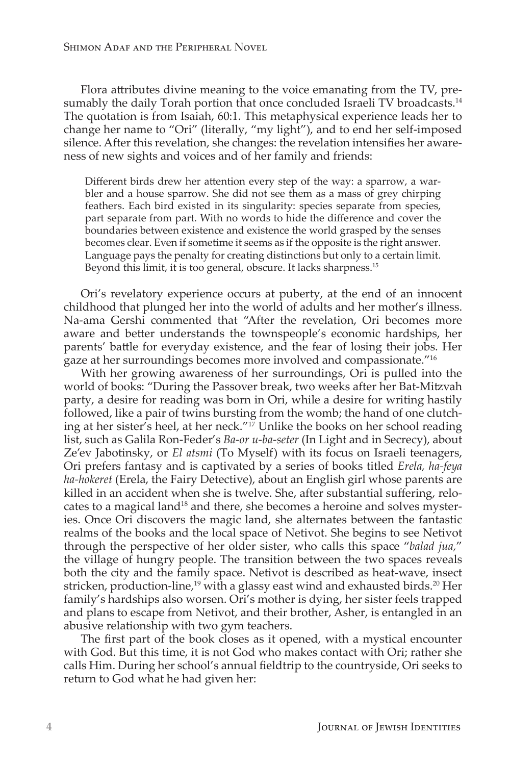SHIMON ADAF AND THE PERIPHERAL NOVEL

Flora attributes divine meaning to the voice emanating from the TV, presumably the daily Torah portion that once concluded Israeli TV broadcasts.<sup>14</sup> The quotation is from Isaiah, 60:1. This metaphysical experience leads her to change her name to "Ori" (literally, "my light"), and to end her self-imposed silence. After this revelation, she changes: the revelation intensifies her awareness of new sights and voices and of her family and friends:

Different birds drew her attention every step of the way: a sparrow, a warbler and a house sparrow. She did not see them as a mass of grey chirping feathers. Each bird existed in its singularity: species separate from species, part separate from part. With no words to hide the difference and cover the boundaries between existence and existence the world grasped by the senses becomes clear. Even if sometime it seems as if the opposite is the right answer. Language pays the penalty for creating distinctions but only to a certain limit. Beyond this limit, it is too general, obscure. It lacks sharpness.<sup>15</sup>

Ori's revelatory experience occurs at puberty, at the end of an innocent childhood that plunged her into the world of adults and her mother's illness. Na-ama Gershi commented that "After the revelation, Ori becomes more aware and better understands the townspeople's economic hardships, her parents' battle for everyday existence, and the fear of losing their jobs. Her gaze at her surroundings becomes more involved and compassionate."16

With her growing awareness of her surroundings, Ori is pulled into the world of books: "During the Passover break, two weeks after her Bat-Mitzvah party, a desire for reading was born in Ori, while a desire for writing hastily followed, like a pair of twins bursting from the womb; the hand of one clutching at her sister's heel, at her neck."<sup>17</sup> Unlike the books on her school reading list, such as Galila Ron-Feder's *Ba-or u-ba-seter* (In Light and in Secrecy), about Ze'ev Jabotinsky, or *El atsmi* (To Myself) with its focus on Israeli teenagers, Ori prefers fantasy and is captivated by a series of books titled *Erela, ha-feya ha-hokeret* (Erela, the Fairy Detective), about an English girl whose parents are killed in an accident when she is twelve. She, after substantial suffering, relocates to a magical land<sup>18</sup> and there, she becomes a heroine and solves mysteries. Once Ori discovers the magic land, she alternates between the fantastic realms of the books and the local space of Netivot. She begins to see Netivot through the perspective of her older sister, who calls this space "*balad jua,*" the village of hungry people. The transition between the two spaces reveals both the city and the family space. Netivot is described as heat-wave, insect stricken, production-line,<sup>19</sup> with a glassy east wind and exhausted birds.<sup>20</sup> Her family's hardships also worsen. Ori's mother is dying, her sister feels trapped and plans to escape from Netivot, and their brother, Asher, is entangled in an abusive relationship with two gym teachers.

The first part of the book closes as it opened, with a mystical encounter with God. But this time, it is not God who makes contact with Ori; rather she calls Him. During her school's annual fieldtrip to the countryside, Ori seeks to return to God what he had given her: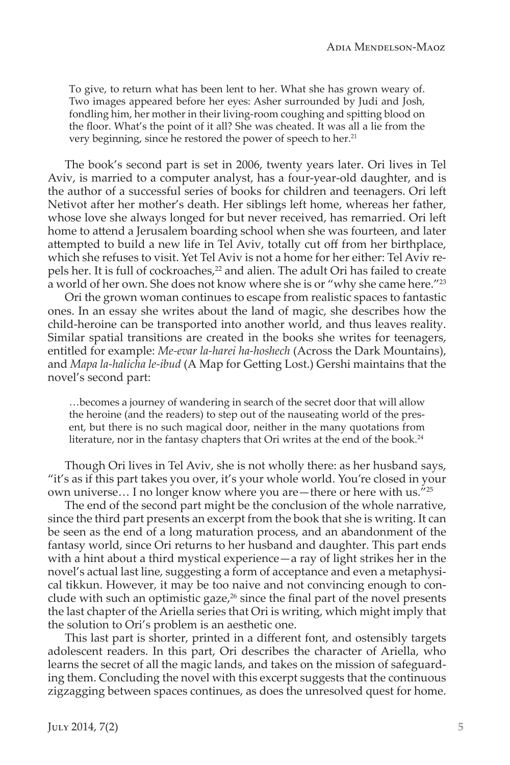To give, to return what has been lent to her. What she has grown weary of. Two images appeared before her eyes: Asher surrounded by Judi and Josh, fondling him, her mother in their living-room coughing and spitting blood on the floor. What's the point of it all? She was cheated. It was all a lie from the very beginning, since he restored the power of speech to her.<sup>21</sup>

The book's second part is set in 2006, twenty years later. Ori lives in Tel Aviv, is married to a computer analyst, has a four-year-old daughter, and is the author of a successful series of books for children and teenagers. Ori left Netivot after her mother's death. Her siblings left home, whereas her father, whose love she always longed for but never received, has remarried. Ori left home to attend a Jerusalem boarding school when she was fourteen, and later attempted to build a new life in Tel Aviv, totally cut off from her birthplace, which she refuses to visit. Yet Tel Aviv is not a home for her either: Tel Aviv repels her. It is full of cockroaches,<sup>22</sup> and alien. The adult Ori has failed to create a world of her own. She does not know where she is or "why she came here."<sup>23</sup>

Ori the grown woman continues to escape from realistic spaces to fantastic ones. In an essay she writes about the land of magic, she describes how the child-heroine can be transported into another world, and thus leaves reality. Similar spatial transitions are created in the books she writes for teenagers, entitled for example: *Me-evar la-harei ha-hoshech* (Across the Dark Mountains), and *Mapa la-halicha le-ibud* (A Map for Getting Lost.) Gershi maintains that the novel's second part:

…becomes a journey of wandering in search of the secret door that will allow the heroine (and the readers) to step out of the nauseating world of the present, but there is no such magical door, neither in the many quotations from literature, nor in the fantasy chapters that Ori writes at the end of the book.<sup>24</sup>

Though Ori lives in Tel Aviv, she is not wholly there: as her husband says, "it's as if this part takes you over, it's your whole world. You're closed in your own universe… I no longer know where you are—there or here with us."25

The end of the second part might be the conclusion of the whole narrative, since the third part presents an excerpt from the book that she is writing. It can be seen as the end of a long maturation process, and an abandonment of the fantasy world, since Ori returns to her husband and daughter. This part ends with a hint about a third mystical experience—a ray of light strikes her in the novel's actual last line, suggesting a form of acceptance and even a metaphysical tikkun. However, it may be too naive and not convincing enough to conclude with such an optimistic gaze,<sup>26</sup> since the final part of the novel presents the last chapter of the Ariella series that Ori is writing, which might imply that the solution to Ori's problem is an aesthetic one.

This last part is shorter, printed in a different font, and ostensibly targets adolescent readers. In this part, Ori describes the character of Ariella, who learns the secret of all the magic lands, and takes on the mission of safeguarding them. Concluding the novel with this excerpt suggests that the continuous zigzagging between spaces continues, as does the unresolved quest for home.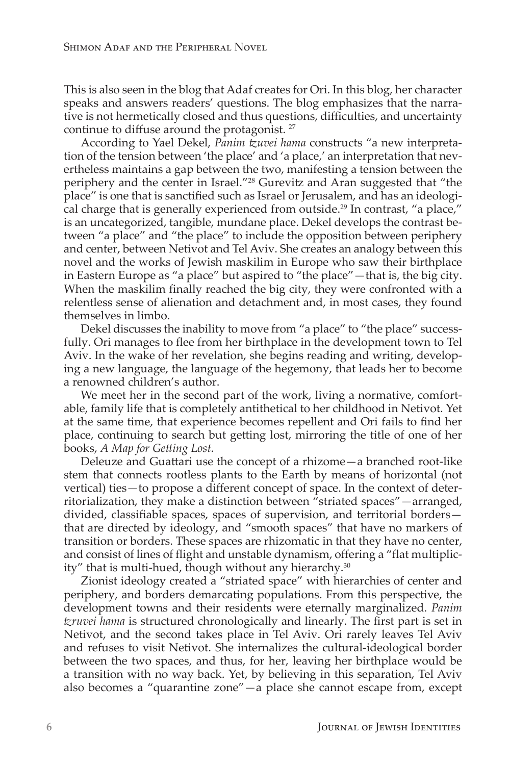This is also seen in the blog that Adaf creates for Ori. In this blog, her character speaks and answers readers' questions. The blog emphasizes that the narrative is not hermetically closed and thus questions, difficulties, and uncertainty continue to diffuse around the protagonist.<sup>27</sup>

According to Yael Dekel, *Panim tzuvei hama* constructs "a new interpretation of the tension between 'the place' and 'a place,' an interpretation that nevertheless maintains a gap between the two, manifesting a tension between the periphery and the center in Israel."28 Gurevitz and Aran suggested that "the place" is one that is sanctified such as Israel or Jerusalem, and has an ideological charge that is generally experienced from outside.<sup>29</sup> In contrast, "a place," is an uncategorized, tangible, mundane place. Dekel develops the contrast between "a place" and "the place" to include the opposition between periphery and center, between Netivot and Tel Aviv. She creates an analogy between this novel and the works of Jewish maskilim in Europe who saw their birthplace in Eastern Europe as "a place" but aspired to "the place"—that is, the big city. When the maskilim finally reached the big city, they were confronted with a relentless sense of alienation and detachment and, in most cases, they found themselves in limbo.

Dekel discusses the inability to move from "a place" to "the place" successfully. Ori manages to flee from her birthplace in the development town to Tel Aviv. In the wake of her revelation, she begins reading and writing, developing a new language, the language of the hegemony, that leads her to become a renowned children's author.

We meet her in the second part of the work, living a normative, comfortable, family life that is completely antithetical to her childhood in Netivot. Yet at the same time, that experience becomes repellent and Ori fails to find her place, continuing to search but getting lost, mirroring the title of one of her books, *A Map for Getting Lost.*

Deleuze and Guattari use the concept of a rhizome—a branched root-like stem that connects rootless plants to the Earth by means of horizontal (not vertical) ties—to propose a different concept of space. In the context of deterritorialization, they make a distinction between "striated spaces"*—*arranged, divided, classifiable spaces, spaces of supervision, and territorial borders that are directed by ideology, and "smooth spaces" that have no markers of transition or borders. These spaces are rhizomatic in that they have no center, and consist of lines of flight and unstable dynamism, offering a "flat multiplicity" that is multi-hued, though without any hierarchy.<sup>30</sup>

Zionist ideology created a "striated space" with hierarchies of center and periphery, and borders demarcating populations. From this perspective, the development towns and their residents were eternally marginalized. *Panim tzruvei hama* is structured chronologically and linearly. The first part is set in Netivot, and the second takes place in Tel Aviv. Ori rarely leaves Tel Aviv and refuses to visit Netivot. She internalizes the cultural-ideological border between the two spaces, and thus, for her, leaving her birthplace would be a transition with no way back. Yet, by believing in this separation, Tel Aviv also becomes a "quarantine zone"—a place she cannot escape from, except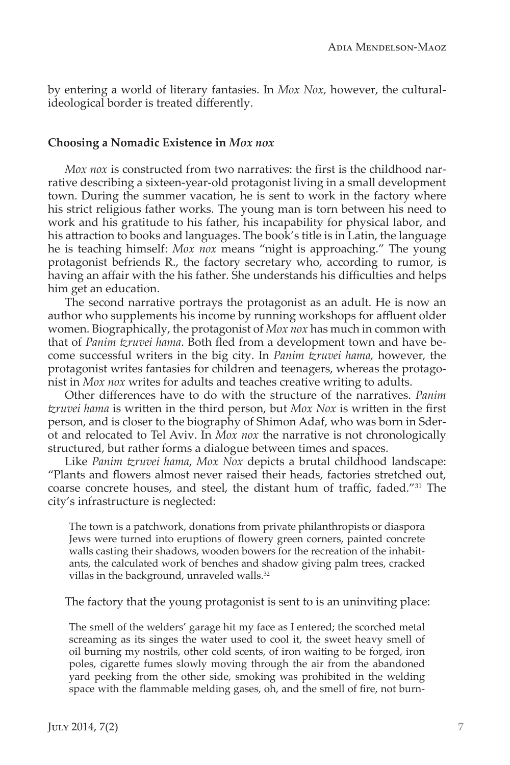by entering a world of literary fantasies. In *Mox Nox,* however, the culturalideological border is treated differently.

#### **Choosing a Nomadic Existence in** *Mox nox*

*Mox nox* is constructed from two narratives: the first is the childhood narrative describing a sixteen-year-old protagonist living in a small development town. During the summer vacation, he is sent to work in the factory where his strict religious father works. The young man is torn between his need to work and his gratitude to his father, his incapability for physical labor, and his attraction to books and languages. The book's title is in Latin, the language he is teaching himself: *Mox nox* means "night is approaching." The young protagonist befriends R., the factory secretary who, according to rumor, is having an affair with the his father. She understands his difficulties and helps him get an education.

The second narrative portrays the protagonist as an adult. He is now an author who supplements his income by running workshops for affluent older women. Biographically, the protagonist of *Mox nox* has much in common with that of *Panim tzruvei hama*. Both fled from a development town and have become successful writers in the big city. In *Panim tzruvei hama,* however*,* the protagonist writes fantasies for children and teenagers, whereas the protagonist in *Mox nox* writes for adults and teaches creative writing to adults.

Other differences have to do with the structure of the narratives. *Panim tzruvei hama* is written in the third person, but *Mox Nox* is written in the first person, and is closer to the biography of Shimon Adaf, who was born in Sderot and relocated to Tel Aviv. In *Mox nox* the narrative is not chronologically structured, but rather forms a dialogue between times and spaces.

Like *Panim tzruvei hama*, *Mox Nox* depicts a brutal childhood landscape: "Plants and flowers almost never raised their heads, factories stretched out, coarse concrete houses, and steel, the distant hum of traffic, faded."<sup>31</sup> The city's infrastructure is neglected:

The town is a patchwork, donations from private philanthropists or diaspora Jews were turned into eruptions of flowery green corners, painted concrete walls casting their shadows, wooden bowers for the recreation of the inhabitants, the calculated work of benches and shadow giving palm trees, cracked villas in the background, unraveled walls.<sup>32</sup>

The factory that the young protagonist is sent to is an uninviting place:

The smell of the welders' garage hit my face as I entered; the scorched metal screaming as its singes the water used to cool it, the sweet heavy smell of oil burning my nostrils, other cold scents, of iron waiting to be forged, iron poles, cigarette fumes slowly moving through the air from the abandoned yard peeking from the other side, smoking was prohibited in the welding space with the flammable melding gases, oh, and the smell of fire, not burn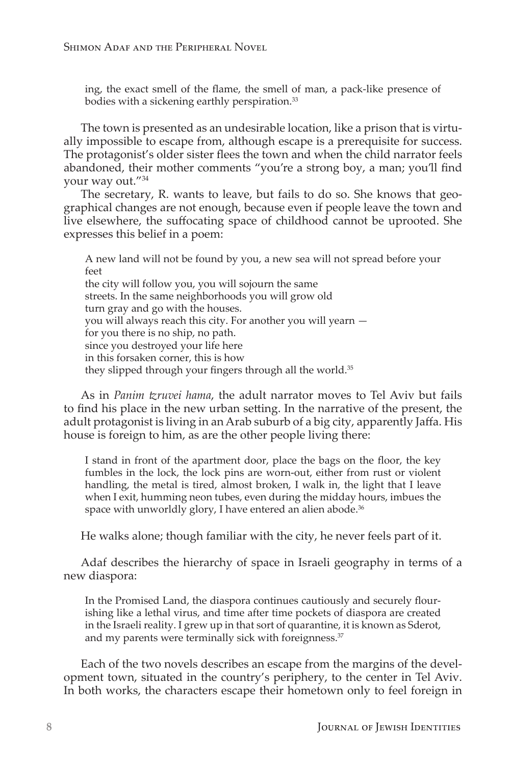SHIMON ADAF AND THE PERIPHERAL NOVEL

ing, the exact smell of the flame, the smell of man, a pack-like presence of bodies with a sickening earthly perspiration.<sup>33</sup>

The town is presented as an undesirable location, like a prison that is virtually impossible to escape from, although escape is a prerequisite for success. The protagonist's older sister flees the town and when the child narrator feels abandoned, their mother comments "you're a strong boy, a man; you'll find your way out."<sup>34</sup>

The secretary, R. wants to leave, but fails to do so. She knows that geographical changes are not enough, because even if people leave the town and live elsewhere, the suffocating space of childhood cannot be uprooted. She expresses this belief in a poem:

A new land will not be found by you, a new sea will not spread before your feet the city will follow you, you will sojourn the same streets. In the same neighborhoods you will grow old turn gray and go with the houses. you will always reach this city. For another you will yearn for you there is no ship, no path. since you destroyed your life here in this forsaken corner, this is how they slipped through your fingers through all the world.<sup>35</sup>

As in *Panim tzruvei hama*, the adult narrator moves to Tel Aviv but fails to find his place in the new urban setting. In the narrative of the present, the adult protagonist is living in an Arab suburb of a big city, apparently Jaffa. His house is foreign to him, as are the other people living there:

I stand in front of the apartment door, place the bags on the floor, the key fumbles in the lock, the lock pins are worn-out, either from rust or violent handling, the metal is tired, almost broken, I walk in, the light that I leave when I exit, humming neon tubes, even during the midday hours, imbues the space with unworldly glory, I have entered an alien abode.<sup>36</sup>

He walks alone; though familiar with the city, he never feels part of it.

Adaf describes the hierarchy of space in Israeli geography in terms of a new diaspora:

In the Promised Land, the diaspora continues cautiously and securely flourishing like a lethal virus, and time after time pockets of diaspora are created in the Israeli reality. I grew up in that sort of quarantine, it is known as Sderot, and my parents were terminally sick with foreignness.<sup>37</sup>

Each of the two novels describes an escape from the margins of the development town, situated in the country's periphery, to the center in Tel Aviv. In both works, the characters escape their hometown only to feel foreign in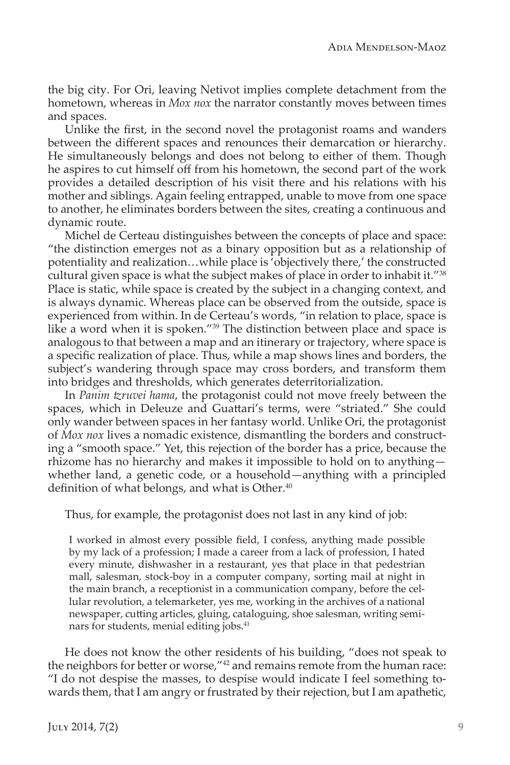the big city. For Ori, leaving Netivot implies complete detachment from the hometown, whereas in *Mox nox* the narrator constantly moves between times and spaces.

Unlike the first, in the second novel the protagonist roams and wanders between the different spaces and renounces their demarcation or hierarchy. He simultaneously belongs and does not belong to either of them. Though he aspires to cut himself off from his hometown, the second part of the work provides a detailed description of his visit there and his relations with his mother and siblings. Again feeling entrapped, unable to move from one space to another, he eliminates borders between the sites, creating a continuous and dynamic route.

Michel de Certeau distinguishes between the concepts of place and space: "the distinction emerges not as a binary opposition but as a relationship of potentiality and realization…while place is 'objectively there,' the constructed cultural given space is what the subject makes of place in order to inhabit it."38 Place is static, while space is created by the subject in a changing context, and is always dynamic. Whereas place can be observed from the outside, space is experienced from within. In de Certeau's words, "in relation to place, space is like a word when it is spoken."39 The distinction between place and space is analogous to that between a map and an itinerary or trajectory, where space is a specific realization of place. Thus, while a map shows lines and borders, the subject's wandering through space may cross borders, and transform them into bridges and thresholds, which generates deterritorialization.

In *Panim tzruvei hama*, the protagonist could not move freely between the spaces, which in Deleuze and Guattari's terms, were "striated." She could only wander between spaces in her fantasy world. Unlike Ori, the protagonist of *Mox nox* lives a nomadic existence, dismantling the borders and constructing a "smooth space." Yet, this rejection of the border has a price, because the rhizome has no hierarchy and makes it impossible to hold on to anything whether land, a genetic code, or a household—anything with a principled definition of what belongs, and what is Other.<sup>40</sup>

Thus, for example, the protagonist does not last in any kind of job:

I worked in almost every possible field, I confess, anything made possible by my lack of a profession; I made a career from a lack of profession, I hated every minute, dishwasher in a restaurant, yes that place in that pedestrian mall, salesman, stock-boy in a computer company, sorting mail at night in the main branch, a receptionist in a communication company, before the cellular revolution, a telemarketer, yes me, working in the archives of a national newspaper, cutting articles, gluing, cataloguing, shoe salesman, writing seminars for students, menial editing jobs.<sup>41</sup>

He does not know the other residents of his building, "does not speak to the neighbors for better or worse,"<sup>42</sup> and remains remote from the human race: "I do not despise the masses, to despise would indicate I feel something towards them, that I am angry or frustrated by their rejection, but I am apathetic,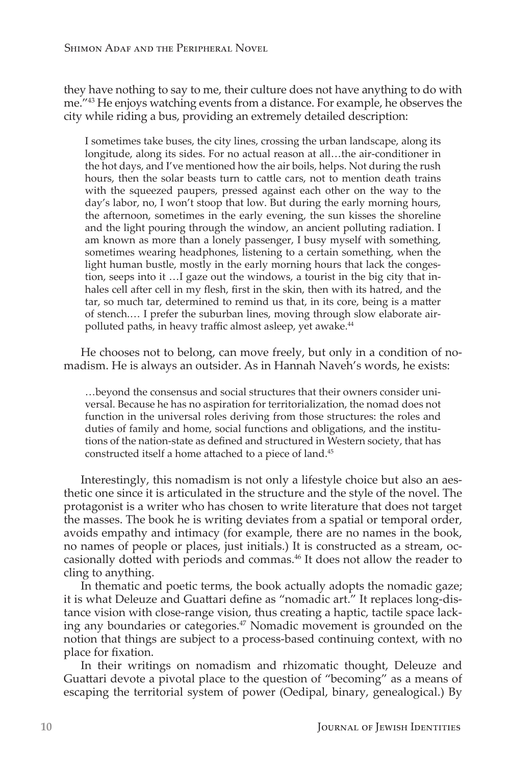SHIMON ADAF AND THE PERIPHERAL NOVEL

they have nothing to say to me, their culture does not have anything to do with me."<sup>43</sup> He enjoys watching events from a distance. For example, he observes the city while riding a bus, providing an extremely detailed description:

I sometimes take buses, the city lines, crossing the urban landscape, along its longitude, along its sides. For no actual reason at all…the air-conditioner in the hot days, and I've mentioned how the air boils, helps. Not during the rush hours, then the solar beasts turn to cattle cars, not to mention death trains with the squeezed paupers, pressed against each other on the way to the day's labor, no, I won't stoop that low. But during the early morning hours, the afternoon, sometimes in the early evening, the sun kisses the shoreline and the light pouring through the window, an ancient polluting radiation. I am known as more than a lonely passenger, I busy myself with something, sometimes wearing headphones, listening to a certain something, when the light human bustle, mostly in the early morning hours that lack the congestion, seeps into it …I gaze out the windows, a tourist in the big city that inhales cell after cell in my flesh, first in the skin, then with its hatred, and the tar, so much tar, determined to remind us that, in its core, being is a matter of stench.… I prefer the suburban lines, moving through slow elaborate airpolluted paths, in heavy traffic almost asleep, yet awake.<sup>44</sup>

He chooses not to belong, can move freely, but only in a condition of nomadism. He is always an outsider. As in Hannah Naveh's words, he exists:

…beyond the consensus and social structures that their owners consider universal. Because he has no aspiration for territorialization, the nomad does not function in the universal roles deriving from those structures: the roles and duties of family and home, social functions and obligations, and the institutions of the nation-state as defined and structured in Western society, that has constructed itself a home attached to a piece of land.45

Interestingly, this nomadism is not only a lifestyle choice but also an aesthetic one since it is articulated in the structure and the style of the novel. The protagonist is a writer who has chosen to write literature that does not target the masses. The book he is writing deviates from a spatial or temporal order, avoids empathy and intimacy (for example, there are no names in the book, no names of people or places, just initials.) It is constructed as a stream, occasionally dotted with periods and commas.46 It does not allow the reader to cling to anything.

In thematic and poetic terms, the book actually adopts the nomadic gaze; it is what Deleuze and Guattari define as "nomadic art." It replaces long-distance vision with close-range vision, thus creating a haptic, tactile space lacking any boundaries or categories.47 Nomadic movement is grounded on the notion that things are subject to a process-based continuing context, with no place for fixation.

In their writings on nomadism and rhizomatic thought, Deleuze and Guattari devote a pivotal place to the question of "becoming" as a means of escaping the territorial system of power (Oedipal, binary, genealogical.) By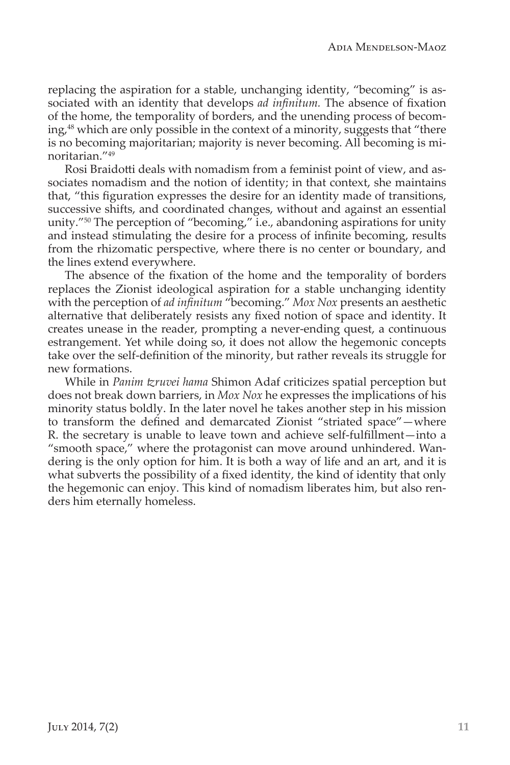replacing the aspiration for a stable, unchanging identity, "becoming" is associated with an identity that develops *ad infinitum.* The absence of fixation of the home, the temporality of borders, and the unending process of becoming,<sup>48</sup> which are only possible in the context of a minority, suggests that "there is no becoming majoritarian; majority is never becoming. All becoming is minoritarian."49

Rosi Braidotti deals with nomadism from a feminist point of view, and associates nomadism and the notion of identity; in that context, she maintains that, "this figuration expresses the desire for an identity made of transitions, successive shifts, and coordinated changes, without and against an essential unity."50 The perception of "becoming," i.e., abandoning aspirations for unity and instead stimulating the desire for a process of infinite becoming, results from the rhizomatic perspective, where there is no center or boundary, and the lines extend everywhere.

The absence of the fixation of the home and the temporality of borders replaces the Zionist ideological aspiration for a stable unchanging identity with the perception of *ad infinitum* "becoming." *Mox Nox* presents an aesthetic alternative that deliberately resists any fixed notion of space and identity. It creates unease in the reader, prompting a never-ending quest, a continuous estrangement. Yet while doing so, it does not allow the hegemonic concepts take over the self-definition of the minority, but rather reveals its struggle for new formations.

While in *Panim tzruvei hama* Shimon Adaf criticizes spatial perception but does not break down barriers, in *Mox Nox* he expresses the implications of his minority status boldly. In the later novel he takes another step in his mission to transform the defined and demarcated Zionist "striated space"—where R. the secretary is unable to leave town and achieve self-fulfillment—into a "smooth space," where the protagonist can move around unhindered. Wandering is the only option for him. It is both a way of life and an art, and it is what subverts the possibility of a fixed identity, the kind of identity that only the hegemonic can enjoy. This kind of nomadism liberates him, but also renders him eternally homeless.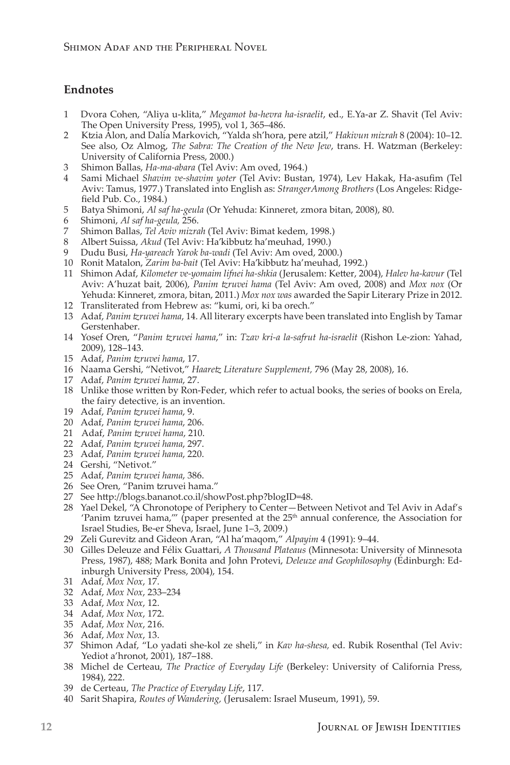### **Endnotes**

- Dvora Cohen, "Aliya u-klita," *Megamot ba-hevra ha-israelit*, ed., E.Ya-ar Z. Shavit (Tel Aviv: The Open University Press, 1995), vol 1, 365–486.
- Ktzia Alon, and Dalia Markovich, "Yalda sh'hora, pere atzil," *Hakivun mizrah* 8 (2004): 10–12. See also, Oz Almog, *The Sabra: The Creation of the New Jew*, trans. H. Watzman (Berkeley: University of California Press, 2000.)
- Shimon Ballas, *Ha-ma-abara* (Tel Aviv: Am oved, 1964.)
- Sami Michael *Shavim ve-shavim yoter* (Tel Aviv: Bustan, 1974), Lev Hakak, Ha-asufim (Tel Aviv: Tamus, 1977.) Translated into English as: *StrangerAmong Brothers* (Los Angeles: Ridgefield Pub. Co., 1984.)
- Batya Shimoni, *Al saf ha-geula* (Or Yehuda: Kinneret, zmora bitan, 2008), 80.
- Shimoni, *Al saf ha-geula,* 256.
- Shimon Ballas, *Tel Aviv mizrah* (Tel Aviv: Bimat kedem, 1998.)
- Albert Suissa, *Akud* (Tel Aviv: Ha'kibbutz ha'meuhad, 1990.)
- Dudu Busi, *Ha-yareach Yarok ba-wadi* (Tel Aviv: Am oved, 2000.)
- Ronit Matalon, *Zarim ba-bait* (Tel Aviv: Ha'kibbutz ha'meuhad, 1992.)
- Shimon Adaf, *Kilometer ve-yomaim lifnei ha-shkia* (Jerusalem: Ketter, 2004), *Halev ha-kavur* (Tel Aviv: A'huzat bait, 2006), *Panim tzruvei hama* (Tel Aviv: Am oved, 2008) and *Mox nox* (Or Yehuda: Kinneret, zmora, bitan, 2011.) *Mox nox was* awarded the Sapir Literary Prize in 2012.
- Transliterated from Hebrew as: "kumi, ori, ki ba orech."
- Adaf, *Panim tzruvei hama*, 14. All literary excerpts have been translated into English by Tamar Gerstenhaber.
- Yosef Oren, "*Panim tzruvei hama*," in: *Tzav kri-a la-safrut ha-israelit* (Rishon Le-zion: Yahad, 2009), 128–143.
- Adaf, *Panim tzruvei hama*, 17.
- Naama Gershi, "Netivot," *Haaretz Literature Supplement,* 796 (May 28, 2008), 16.
- Adaf, *Panim tzruvei hama*, 27.
- Unlike those written by Ron-Feder, which refer to actual books, the series of books on Erela, the fairy detective, is an invention.
- Adaf, *Panim tzruvei hama*, 9.
- Adaf, *Panim tzruvei hama*, 206.
- Adaf, *Panim tzruvei hama*, 210.
- Adaf, *Panim tzruvei hama*, 297.
- Adaf, *Panim tzruvei hama*, 220.
- Gershi, "Netivot."
- Adaf, *Panim tzruvei hama*, 386.
- See Oren, "Panim tzruvei hama."
- See http://blogs.bananot.co.il/showPost.php?blogID=48.
- Yael Dekel, "A Chronotope of Periphery to Center—Between Netivot and Tel Aviv in Adaf's 'Panim tzruvei hama, $''$  (paper presented at the  $25<sup>th</sup>$  annual conference, the Association for Israel Studies, Be-er Sheva, Israel, June 1–3, 2009.)
- Zeli Gurevitz and Gideon Aran, "Al ha'maqom," *Alpayim* 4 (1991): 9–44.
- Gilles Deleuze and Félix Guattari, *A Thousand Plateaus* (Minnesota: University of Minnesota Press, 1987), 488; Mark Bonita and John Protevi, *Deleuze and Geophilosophy* (Edinburgh: Edinburgh University Press, 2004), 154.
- Adaf, *Mox Nox*, 17.
- Adaf, *Mox Nox*, 233–234
- Adaf, *Mox Nox*, 12.
- Adaf, *Mox Nox*, 172.
- Adaf, *Mox Nox*, 216.
- Adaf, *Mox Nox*, 13.
- Shimon Adaf, "Lo yadati she-kol ze sheli," in *Kav ha-shesa,* ed. Rubik Rosenthal (Tel Aviv: Yediot a'hronot, 2001), 187–188.
- Michel de Certeau, *The Practice of Everyday Life* (Berkeley: University of California Press, 1984), 222.
- de Certeau, *The Practice of Everyday Life*, 117.
- Sarit Shapira, *Routes of Wandering,* (Jerusalem: Israel Museum, 1991), 59.